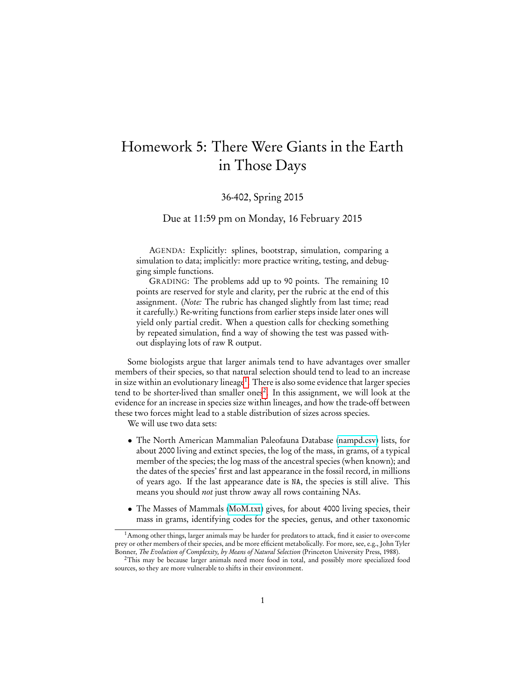## Homework 5: There Were Giants in the Earth in Those Days

## 36-402, Spring 2015

## Due at 11:59 pm on Monday, 16 February 2015

AGENDA: Explicitly: splines, bootstrap, simulation, comparing a simulation to data; implicitly: more practice writing, testing, and debugging simple functions.

GRADING: The problems add up to 90 points. The remaining 10 points are reserved for style and clarity, per the rubric at the end of this assignment. (Note: The rubric has changed slightly from last time; read it carefully.) Re-writing functions from earlier steps inside later ones will yield only partial credit. When a question calls for checking something by repeated simulation, find a way of showing the test was passed without displaying lots of raw R output.

Some biologists argue that larger animals tend to have advantages over smaller members of their species, so that natural selection should tend to lead to an increase in size within an evolutionary lineage<sup>[1](#page-0-0)</sup>. There is also some evidence that larger species tend to be shorter-lived than smaller ones<sup>[2](#page-0-1)</sup>. In this assignment, we will look at the evidence for an increase in species size within lineages, and how the trade-off between these two forces might lead to a stable distribution of sizes across species.

We will use two data sets:

- The North American Mammalian Paleofauna Database [\(nampd.csv\)](http://www.stat.cmu.edu/~cshalizi/uADA/15/hw/05/nampd.csv) lists, for about 2000 living and extinct species, the log of the mass, in grams, of a typical member of the species; the log mass of the ancestral species (when known); and the dates of the species' first and last appearance in the fossil record, in millions of years ago. If the last appearance date is NA, the species is still alive. This means you should not just throw away all rows containing NAs.
- The Masses of Mammals [\(MoM.txt\)](http://www.stat.cmu.edu/~cshalizi/uADA/15/hw/05/MoM.txt) gives, for about 4000 living species, their mass in grams, identifying codes for the species, genus, and other taxonomic

<span id="page-0-0"></span><sup>1</sup>Among other things, larger animals may be harder for predators to attack, find it easier to over-come prey or other members of their species, and be more efficient metabolically. For more, see, e.g., John Tyler Bonner, The Evolution of Complexity, by Means of Natural Selection (Princeton University Press, 1988).

<span id="page-0-1"></span><sup>&</sup>lt;sup>2</sup>This may be because larger animals need more food in total, and possibly more specialized food sources, so they are more vulnerable to shifts in their environment.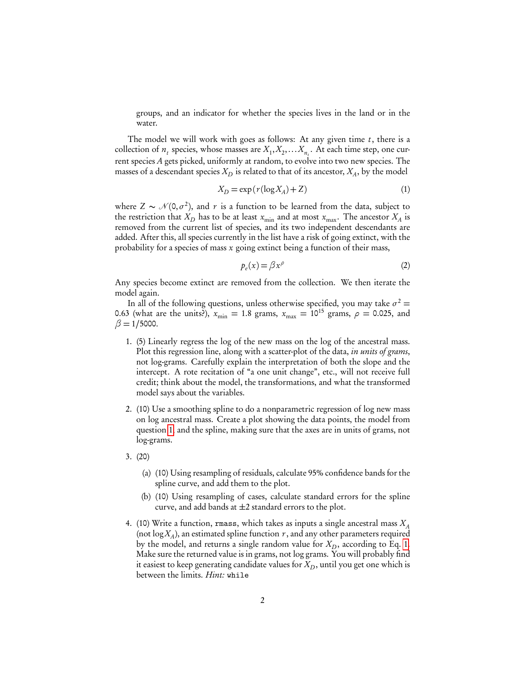groups, and an indicator for whether the species lives in the land or in the water.

The model we will work with goes as follows: At any given time  $t$ , there is a collection of  $n_t$  species, whose masses are  $X_1, X_2, \ldots X_{n_t}$ . At each time step, one current species A gets picked, uniformly at random, to evolve into two new species. The masses of a descendant species  $X_D$  is related to that of its ancestor,  $X_A,$  by the model

<span id="page-1-1"></span>
$$
X_D = \exp\left(r(\log X_A) + Z\right) \tag{1}
$$

where  $Z \sim \mathcal{N}(0, \sigma^2)$ , and r is a function to be learned from the data, subject to the restriction that  $X_D$  has to be at least  $x_{\min}$  and at most  $x_{\max}$ . The ancestor  $X_A$  is removed from the current list of species, and its two independent descendants are added. After this, all species currently in the list have a risk of going extinct, with the probability for a species of mass  $x$  going extinct being a function of their mass,

<span id="page-1-3"></span>
$$
p_e(x) = \beta x^\rho \tag{2}
$$

Any species become extinct are removed from the collection. We then iterate the model again.

In all of the following questions, unless otherwise specified, you may take  $\sigma^2$  = 0.63 (what are the units?),  $x_{\text{min}} = 1.8$  grams,  $x_{\text{max}} = 10^{15}$  grams,  $\rho = 0.025$ , and  $\beta = 1/5000$ .

- <span id="page-1-0"></span>1. (5) Linearly regress the log of the new mass on the log of the ancestral mass. Plot this regression line, along with a scatter-plot of the data, in units of grams, not log-grams. Carefully explain the interpretation of both the slope and the intercept. A rote recitation of "a one unit change", etc., will not receive full credit; think about the model, the transformations, and what the transformed model says about the variables.
- <span id="page-1-2"></span>2. (10) Use a smoothing spline to do a nonparametric regression of log new mass on log ancestral mass. Create a plot showing the data points, the model from question [1,](#page-1-0) and the spline, making sure that the axes are in units of grams, not log-grams.
- 3. (20)
	- (a) (10) Using resampling of residuals, calculate 95% confidence bands for the spline curve, and add them to the plot.
	- (b) (10) Using resampling of cases, calculate standard errors for the spline curve, and add bands at  $\pm 2$  standard errors to the plot.
- 4. (10) Write a function, rmass, which takes as inputs a single ancestral mass  $X_A$ (not  $\log X_A$ ), an estimated spline function  $r$  , and any other parameters required by the model, and returns a single random value for  $X_D$ , according to Eq. [1.](#page-1-1) Make sure the returned value is in grams, not log grams. You will probably find it easiest to keep generating candidate values for  $X_{\!D}^{},$  until you get one which is between the limits. Hint: while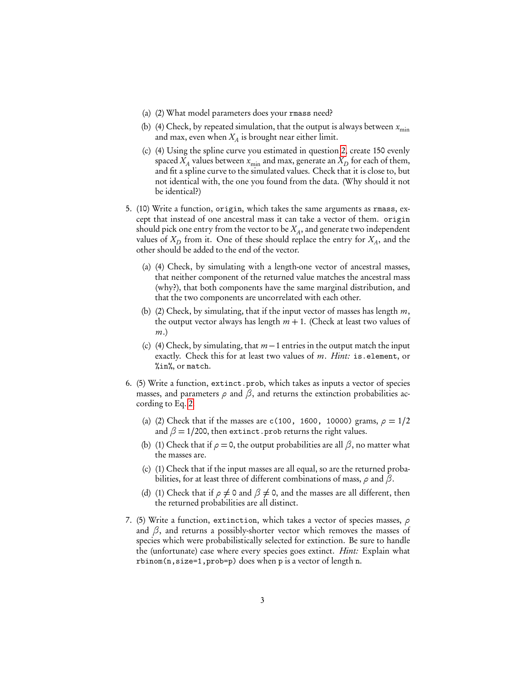- (a) (2) What model parameters does your rmass need?
- (b) (4) Check, by repeated simulation, that the output is always between  $x_{\min}$ and max, even when  $X_A$  is brought near either limit.
- (c) (4) Using the spline curve you estimated in question [2,](#page-1-2) create 150 evenly spaced  $X_A$  values between  $x_{\min}$  and max, generate an  $X_D$  for each of them, and fit a spline curve to the simulated values. Check that it is close to, but not identical with, the one you found from the data. (Why should it not be identical?)
- 5. (10) Write a function, origin, which takes the same arguments as rmass, except that instead of one ancestral mass it can take a vector of them. origin should pick one entry from the vector to be  $X_A,$  and generate two independent values of  $X_D$  from it. One of these should replace the entry for  $X_A$ , and the other should be added to the end of the vector.
	- (a) (4) Check, by simulating with a length-one vector of ancestral masses, that neither component of the returned value matches the ancestral mass (why?), that both components have the same marginal distribution, and that the two components are uncorrelated with each other.
	- (b) (2) Check, by simulating, that if the input vector of masses has length  $m$ , the output vector always has length  $m + 1$ . (Check at least two values of m.)
	- (c) (4) Check, by simulating, that  $m-1$  entries in the output match the input exactly. Check this for at least two values of m. Hint: is.element, or %in%, or match.
- 6. (5) Write a function, extinct.prob, which takes as inputs a vector of species masses, and parameters  $\rho$  and  $\beta$ , and returns the extinction probabilities according to Eq. [2.](#page-1-3)
	- (a) (2) Check that if the masses are c(100, 1600, 10000) grams,  $\rho = 1/2$ and  $\beta = 1/200$ , then extinct.prob returns the right values.
	- (b) (1) Check that if  $\rho = 0$ , the output probabilities are all  $\beta$ , no matter what the masses are.
	- (c) (1) Check that if the input masses are all equal, so are the returned probabilities, for at least three of different combinations of mass, *ρ* and *β*.
	- (d) (1) Check that if  $\rho \neq 0$  and  $\beta \neq 0$ , and the masses are all different, then the returned probabilities are all distinct.
- 7. (5) Write a function, extinction, which takes a vector of species masses, *ρ* and  $\beta$ , and returns a possibly-shorter vector which removes the masses of species which were probabilistically selected for extinction. Be sure to handle the (unfortunate) case where every species goes extinct. *Hint:* Explain what rbinom(n,size=1,prob=p) does when p is a vector of length n.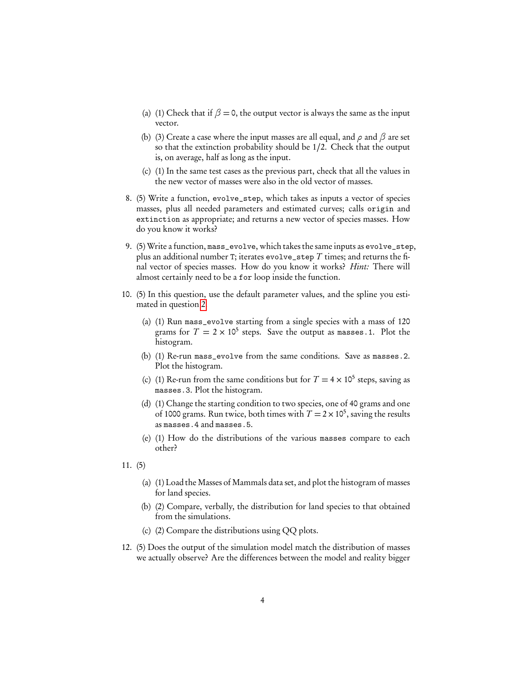- (a) (1) Check that if  $\beta = 0$ , the output vector is always the same as the input vector.
- (b) (3) Create a case where the input masses are all equal, and *ρ* and *β* are set so that the extinction probability should be 1/2. Check that the output is, on average, half as long as the input.
- (c) (1) In the same test cases as the previous part, check that all the values in the new vector of masses were also in the old vector of masses.
- 8. (5) Write a function, evolve\_step, which takes as inputs a vector of species masses, plus all needed parameters and estimated curves; calls origin and extinction as appropriate; and returns a new vector of species masses. How do you know it works?
- 9. (5) Write a function, mass\_evolve, which takes the same inputs as evolve\_step, plus an additional number T; iterates evolve\_step  $T$  times; and returns the final vector of species masses. How do you know it works? *Hint*: There will almost certainly need to be a for loop inside the function.
- 10. (5) In this question, use the default parameter values, and the spline you estimated in question [2.](#page-1-2)
	- (a) (1) Run mass\_evolve starting from a single species with a mass of 120 grams for  $T = 2 \times 10^5$  steps. Save the output as masses. 1. Plot the histogram.
	- (b) (1) Re-run mass\_evolve from the same conditions. Save as masses.2. Plot the histogram.
	- (c) (1) Re-run from the same conditions but for  $T = 4 \times 10^5$  steps, saving as masses.3. Plot the histogram.
	- (d) (1) Change the starting condition to two species, one of 40 grams and one of 1000 grams. Run twice, both times with  $T = 2 \times 10^5$ , saving the results as masses.4 and masses.5.
	- (e) (1) How do the distributions of the various masses compare to each other?
- 11. (5)
	- (a) (1) Load the Masses of Mammals data set, and plot the histogram of masses for land species.
	- (b) (2) Compare, verbally, the distribution for land species to that obtained from the simulations.
	- (c) (2) Compare the distributions using QQ plots.
- 12. (5) Does the output of the simulation model match the distribution of masses we actually observe? Are the differences between the model and reality bigger